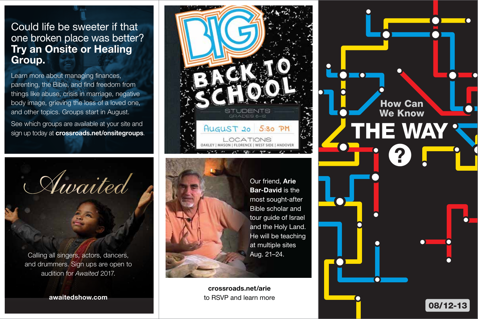## Could life be sweeter if that one broken place was better? Try an Onsite or Healing Group.

Learn more about managing finances, parenting, the Bible, and find freedom from things like abuse, crisis in marriage, negative body image, grieving the loss of a loved one, and other topics. Groups start in August.

See which groups are available at your site and sign up today at crossroads.net/onsitegroups.



and drummers. Sign ups are open to audition for *Awaited* 2017.

awaitedshow.com





Our friend, Arie Bar-David is the most sought-after Bible scholar and tour guide of Israel and the Holy Land. He will be teaching at multiple sites Aug. 21–24.

crossroads.net/arie to RSVP and learn more